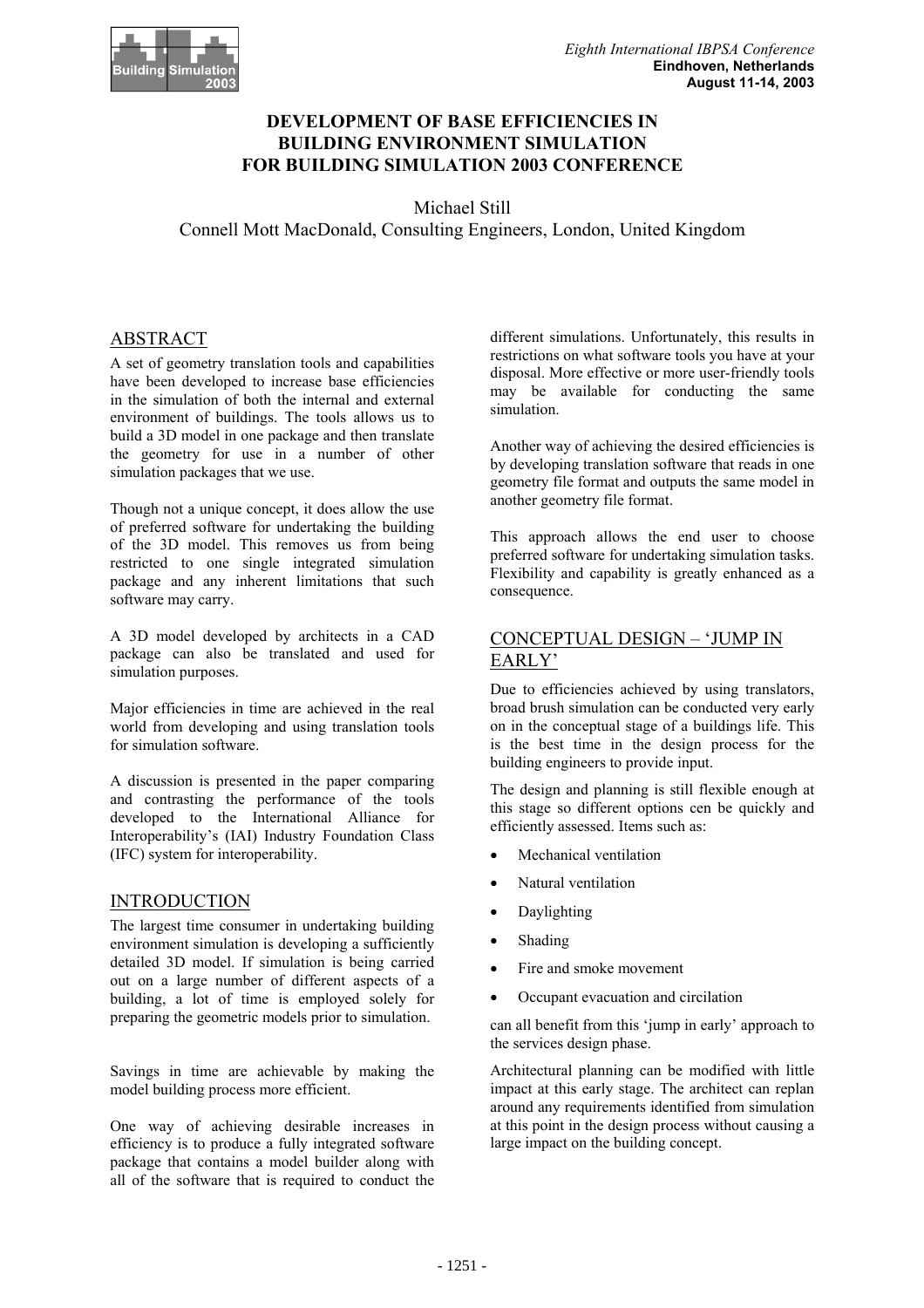

## **DEVELOPMENT OF BASE EFFICIENCIES IN BUILDING ENVIRONMENT SIMULATION FOR BUILDING SIMULATION 2003 CONFERENCE**

Michael Still Connell Mott MacDonald, Consulting Engineers, London, United Kingdom

## ABSTRACT

A set of geometry translation tools and capabilities have been developed to increase base efficiencies in the simulation of both the internal and external environment of buildings. The tools allows us to build a 3D model in one package and then translate the geometry for use in a number of other simulation packages that we use.

Though not a unique concept, it does allow the use of preferred software for undertaking the building of the 3D model. This removes us from being restricted to one single integrated simulation package and any inherent limitations that such software may carry.

A 3D model developed by architects in a CAD package can also be translated and used for simulation purposes.

Major efficiencies in time are achieved in the real world from developing and using translation tools for simulation software.

A discussion is presented in the paper comparing and contrasting the performance of the tools developed to the International Alliance for Interoperability's (IAI) Industry Foundation Class (IFC) system for interoperability.

### INTRODUCTION

The largest time consumer in undertaking building environment simulation is developing a sufficiently detailed 3D model. If simulation is being carried out on a large number of different aspects of a building, a lot of time is employed solely for preparing the geometric models prior to simulation.

Savings in time are achievable by making the model building process more efficient.

One way of achieving desirable increases in efficiency is to produce a fully integrated software package that contains a model builder along with all of the software that is required to conduct the

different simulations. Unfortunately, this results in restrictions on what software tools you have at your disposal. More effective or more user-friendly tools may be available for conducting the same simulation.

Another way of achieving the desired efficiencies is by developing translation software that reads in one geometry file format and outputs the same model in another geometry file format.

This approach allows the end user to choose preferred software for undertaking simulation tasks. Flexibility and capability is greatly enhanced as a consequence.

#### CONCEPTUAL DESIGN – 'JUMP IN EARLY'

Due to efficiencies achieved by using translators, broad brush simulation can be conducted very early on in the conceptual stage of a buildings life. This is the best time in the design process for the building engineers to provide input.

The design and planning is still flexible enough at this stage so different options cen be quickly and efficiently assessed. Items such as:

- Mechanical ventilation
- Natural ventilation
- Daylighting
- Shading
- Fire and smoke movement
- Occupant evacuation and circilation

can all benefit from this 'jump in early' approach to the services design phase.

Architectural planning can be modified with little impact at this early stage. The architect can replan around any requirements identified from simulation at this point in the design process without causing a large impact on the building concept.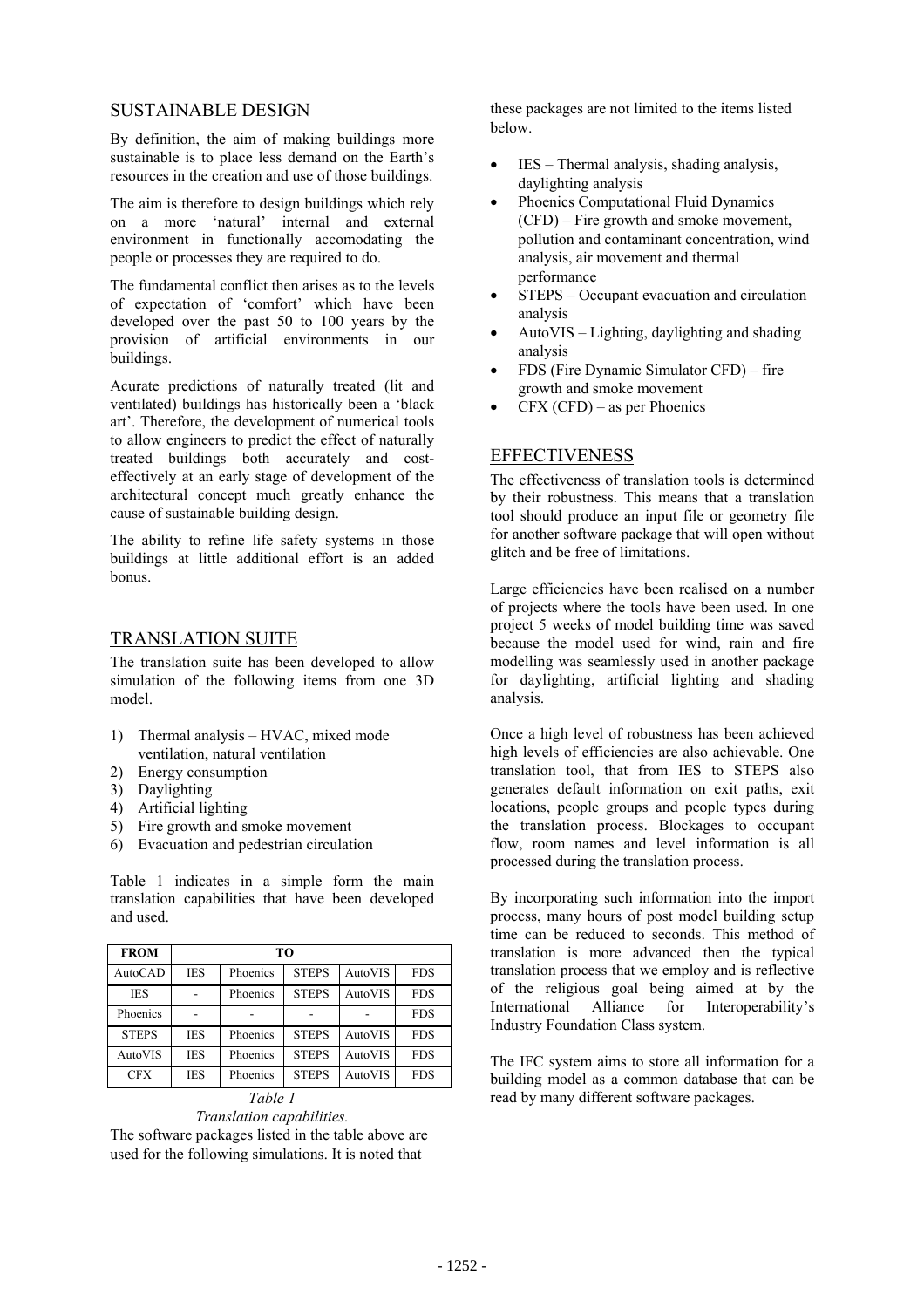#### SUSTAINABLE DESIGN

By definition, the aim of making buildings more sustainable is to place less demand on the Earth's resources in the creation and use of those buildings.

The aim is therefore to design buildings which rely on a more 'natural' internal and external environment in functionally accomodating the people or processes they are required to do.

The fundamental conflict then arises as to the levels of expectation of 'comfort' which have been developed over the past 50 to 100 years by the provision of artificial environments in our buildings.

Acurate predictions of naturally treated (lit and ventilated) buildings has historically been a 'black art'. Therefore, the development of numerical tools to allow engineers to predict the effect of naturally treated buildings both accurately and costeffectively at an early stage of development of the architectural concept much greatly enhance the cause of sustainable building design.

The ability to refine life safety systems in those buildings at little additional effort is an added bonus.

#### TRANSLATION SUITE

The translation suite has been developed to allow simulation of the following items from one 3D model.

- 1) Thermal analysis HVAC, mixed mode ventilation, natural ventilation
- 2) Energy consumption
- 3) Daylighting
- 4) Artificial lighting
- 5) Fire growth and smoke movement
- 6) Evacuation and pedestrian circulation

Table 1 indicates in a simple form the main translation capabilities that have been developed and used.

| <b>FROM</b>    | TО         |          |              |         |            |
|----------------|------------|----------|--------------|---------|------------|
| <b>AutoCAD</b> | <b>IES</b> | Phoenics | <b>STEPS</b> | AutoVIS | <b>FDS</b> |
| <b>IES</b>     |            | Phoenics | <b>STEPS</b> | AutoVIS | <b>FDS</b> |
| Phoenics       |            |          |              |         | <b>FDS</b> |
| <b>STEPS</b>   | <b>IES</b> | Phoenics | <b>STEPS</b> | AutoVIS | <b>FDS</b> |
| AutoVIS        | <b>IES</b> | Phoenics | <b>STEPS</b> | AutoVIS | <b>FDS</b> |
| <b>CFX</b>     | <b>IES</b> | Phoenics | <b>STEPS</b> | AutoVIS | <b>FDS</b> |

#### *Table 1 Translation capabilities.*

The software packages listed in the table above are used for the following simulations. It is noted that

these packages are not limited to the items listed below.

- IES Thermal analysis, shading analysis, daylighting analysis
- Phoenics Computational Fluid Dynamics (CFD) – Fire growth and smoke movement, pollution and contaminant concentration, wind analysis, air movement and thermal performance
- STEPS Occupant evacuation and circulation analysis
- AutoVIS Lighting, daylighting and shading analysis
- FDS (Fire Dynamic Simulator CFD) fire growth and smoke movement
- $CFX (CFD)$  as per Phoenics

# **EFFECTIVENESS**

The effectiveness of translation tools is determined by their robustness. This means that a translation tool should produce an input file or geometry file for another software package that will open without glitch and be free of limitations.

Large efficiencies have been realised on a number of projects where the tools have been used. In one project 5 weeks of model building time was saved because the model used for wind, rain and fire modelling was seamlessly used in another package for daylighting, artificial lighting and shading analysis.

Once a high level of robustness has been achieved high levels of efficiencies are also achievable. One translation tool, that from IES to STEPS also generates default information on exit paths, exit locations, people groups and people types during the translation process. Blockages to occupant flow, room names and level information is all processed during the translation process.

By incorporating such information into the import process, many hours of post model building setup time can be reduced to seconds. This method of translation is more advanced then the typical translation process that we employ and is reflective of the religious goal being aimed at by the International Alliance for Interoperability's Industry Foundation Class system.

The IFC system aims to store all information for a building model as a common database that can be read by many different software packages.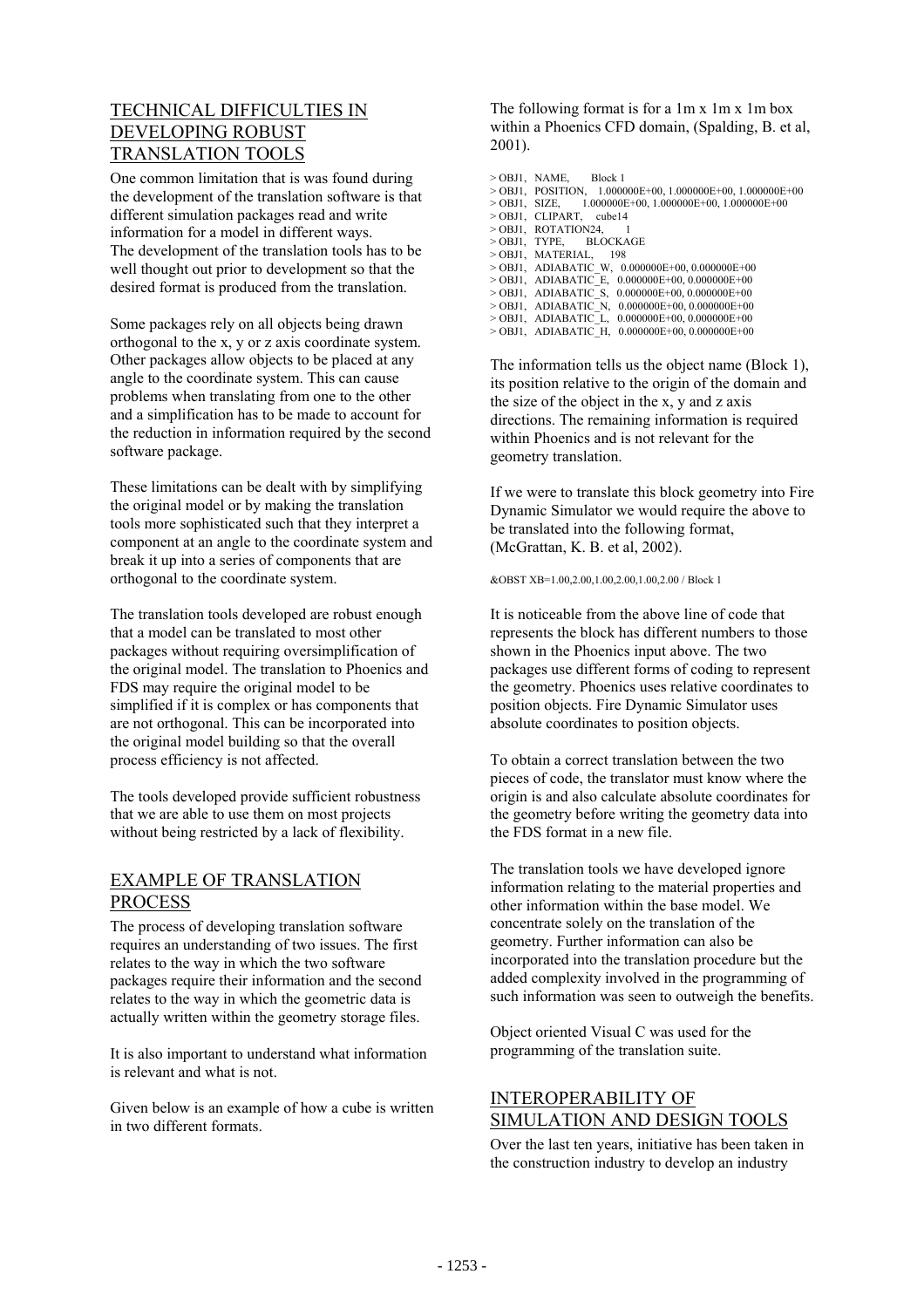# TECHNICAL DIFFICULTIES IN DEVELOPING ROBUST TRANSLATION TOOLS

One common limitation that is was found during the development of the translation software is that different simulation packages read and write information for a model in different ways. The development of the translation tools has to be well thought out prior to development so that the desired format is produced from the translation.

Some packages rely on all objects being drawn orthogonal to the x, y or z axis coordinate system. Other packages allow objects to be placed at any angle to the coordinate system. This can cause problems when translating from one to the other and a simplification has to be made to account for the reduction in information required by the second software package.

These limitations can be dealt with by simplifying the original model or by making the translation tools more sophisticated such that they interpret a component at an angle to the coordinate system and break it up into a series of components that are orthogonal to the coordinate system.

The translation tools developed are robust enough that a model can be translated to most other packages without requiring oversimplification of the original model. The translation to Phoenics and FDS may require the original model to be simplified if it is complex or has components that are not orthogonal. This can be incorporated into the original model building so that the overall process efficiency is not affected.

The tools developed provide sufficient robustness that we are able to use them on most projects without being restricted by a lack of flexibility.

### EXAMPLE OF TRANSLATION PROCESS

The process of developing translation software requires an understanding of two issues. The first relates to the way in which the two software packages require their information and the second relates to the way in which the geometric data is actually written within the geometry storage files.

It is also important to understand what information is relevant and what is not.

Given below is an example of how a cube is written in two different formats.

The following format is for a 1m x 1m x 1m box within a Phoenics CFD domain, (Spalding, B. et al, 2001).

> OBJ1, NAME, Block 1  $>$  OBJ1, POSITION, 1.000000E+00, 1.000000E+00, 1.000000E+00 > OBJ1, SIZE, 1.000000E+00, 1.000000E+00, 1.000000E+00 > OBJ1, CLIPART, cube14  $>$ OBJ1, ROTATION24, 1<br> $>$ OBJ1, TYPE, BLOCKAGE > OBJ1, TYPE, BLOCKAGE > OBJ1, MATERIAL, 198 > OBJ1, ADIABATIC\_W, 0.000000E+00, 0.000000E+00 > OBJ1, ADIABATIC\_E, 0.000000E+00, 0.000000E+00 > OBJ1, ADIABATIC\_S, 0.000000E+00, 0.000000E+00 > OBJ1, ADIABATIC\_N, 0.000000E+00, 0.000000E+00 > OBJ1, ADIABATIC\_L, 0.000000E+00, 0.000000E+00 > OBJ1, ADIABATIC\_H, 0.000000E+00, 0.000000E+00

The information tells us the object name (Block 1), its position relative to the origin of the domain and the size of the object in the x, y and z axis directions. The remaining information is required within Phoenics and is not relevant for the geometry translation.

If we were to translate this block geometry into Fire Dynamic Simulator we would require the above to be translated into the following format, (McGrattan, K. B. et al, 2002).

&OBST XB=1.00,2.00,1.00,2.00,1.00,2.00 / Block 1

It is noticeable from the above line of code that represents the block has different numbers to those shown in the Phoenics input above. The two packages use different forms of coding to represent the geometry. Phoenics uses relative coordinates to position objects. Fire Dynamic Simulator uses absolute coordinates to position objects.

To obtain a correct translation between the two pieces of code, the translator must know where the origin is and also calculate absolute coordinates for the geometry before writing the geometry data into the FDS format in a new file.

The translation tools we have developed ignore information relating to the material properties and other information within the base model. We concentrate solely on the translation of the geometry. Further information can also be incorporated into the translation procedure but the added complexity involved in the programming of such information was seen to outweigh the benefits.

Object oriented Visual C was used for the programming of the translation suite.

#### INTEROPERABILITY OF SIMULATION AND DESIGN TOOLS

Over the last ten years, initiative has been taken in the construction industry to develop an industry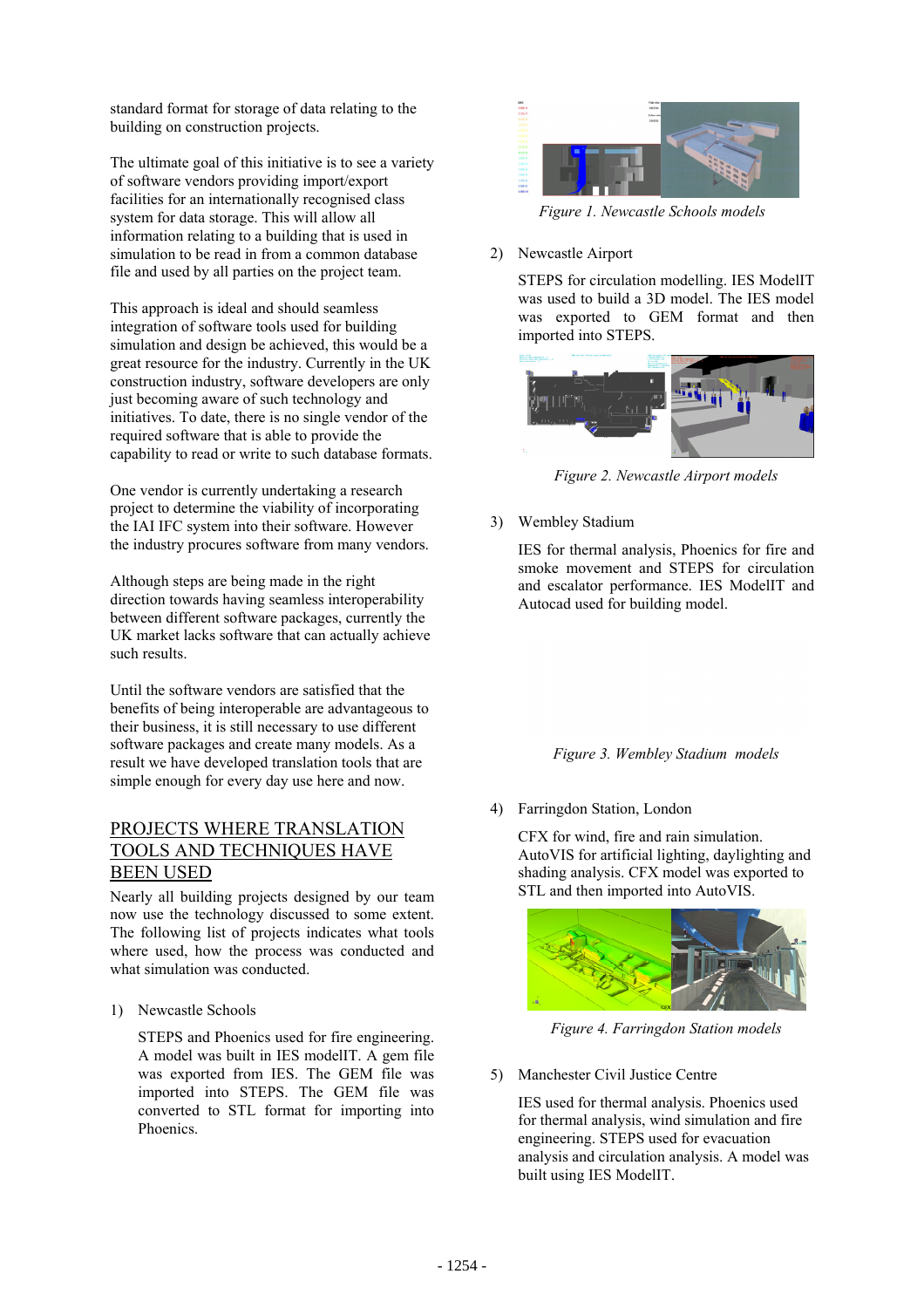standard format for storage of data relating to the building on construction projects.

The ultimate goal of this initiative is to see a variety of software vendors providing import/export facilities for an internationally recognised class system for data storage. This will allow all information relating to a building that is used in simulation to be read in from a common database file and used by all parties on the project team.

This approach is ideal and should seamless integration of software tools used for building simulation and design be achieved, this would be a great resource for the industry. Currently in the UK construction industry, software developers are only just becoming aware of such technology and initiatives. To date, there is no single vendor of the required software that is able to provide the capability to read or write to such database formats.

One vendor is currently undertaking a research project to determine the viability of incorporating the IAI IFC system into their software. However the industry procures software from many vendors.

Although steps are being made in the right direction towards having seamless interoperability between different software packages, currently the UK market lacks software that can actually achieve such results.

Until the software vendors are satisfied that the benefits of being interoperable are advantageous to their business, it is still necessary to use different software packages and create many models. As a result we have developed translation tools that are simple enough for every day use here and now.

### PROJECTS WHERE TRANSLATION TOOLS AND TECHNIQUES HAVE BEEN USED

Nearly all building projects designed by our team now use the technology discussed to some extent. The following list of projects indicates what tools where used, how the process was conducted and what simulation was conducted.

1) Newcastle Schools

STEPS and Phoenics used for fire engineering. A model was built in IES modelIT. A gem file was exported from IES. The GEM file was imported into STEPS. The GEM file was converted to STL format for importing into Phoenics.



*Figure 1. Newcastle Schools models*

#### 2) Newcastle Airport

STEPS for circulation modelling. IES ModelIT was used to build a 3D model. The IES model was exported to GEM format and then imported into STEPS.



*Figure 2. Newcastle Airport models*

3) Wembley Stadium

IES for thermal analysis, Phoenics for fire and smoke movement and STEPS for circulation and escalator performance. IES ModelIT and Autocad used for building model.

#### *Figure 3. Wembley Stadium models*

#### 4) Farringdon Station, London

CFX for wind, fire and rain simulation. AutoVIS for artificial lighting, daylighting and shading analysis. CFX model was exported to STL and then imported into AutoVIS.



*Figure 4. Farringdon Station models*

5) Manchester Civil Justice Centre

IES used for thermal analysis. Phoenics used for thermal analysis, wind simulation and fire engineering. STEPS used for evacuation analysis and circulation analysis. A model was built using IES ModelIT.